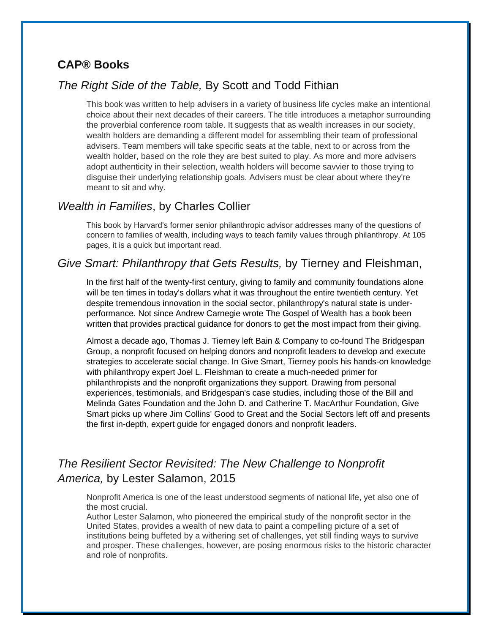#### **CAP® Books**

### *The Right Side of the Table,* By Scott and Todd Fithian

This book was written to help advisers in a variety of business life cycles make an intentional choice about their next decades of their careers. The title introduces a metaphor surrounding the proverbial conference room table. It suggests that as wealth increases in our society, wealth holders are demanding a different model for assembling their team of professional advisers. Team members will take specific seats at the table, next to or across from the wealth holder, based on the role they are best suited to play. As more and more advisers adopt authenticity in their selection, wealth holders will become savvier to those trying to disguise their underlying relationship goals. Advisers must be clear about where they're meant to sit and why.

#### *Wealth in Families*, by Charles Collier

This book by Harvard's former senior philanthropic advisor addresses many of the questions of concern to families of wealth, including ways to teach family values through philanthropy. At 105 pages, it is a quick but important read.

#### *Give Smart: Philanthropy that Gets Results,* by Tierney and Fleishman,

In the first half of the twenty-first century, giving to family and community foundations alone will be ten times in today's dollars what it was throughout the entire twentieth century. Yet despite tremendous innovation in the social sector, philanthropy's natural state is underperformance. Not since Andrew Carnegie wrote The Gospel of Wealth has a book been written that provides practical guidance for donors to get the most impact from their giving.

Almost a decade ago, Thomas J. Tierney left Bain & Company to co-found The Bridgespan Group, a nonprofit focused on helping donors and nonprofit leaders to develop and execute strategies to accelerate social change. In Give Smart, Tierney pools his hands-on knowledge with philanthropy expert Joel L. Fleishman to create a much-needed primer for philanthropists and the nonprofit organizations they support. Drawing from personal experiences, testimonials, and Bridgespan's case studies, including those of the Bill and Melinda Gates Foundation and the John D. and Catherine T. MacArthur Foundation, Give Smart picks up where Jim Collins' Good to Great and the Social Sectors left off and presents the first in-depth, expert guide for engaged donors and nonprofit leaders.

### *The Resilient Sector Revisited: The New Challenge to Nonprofit America,* by Lester Salamon, 2015

Nonprofit America is one of the least understood segments of national life, yet also one of the most crucial.

Author Lester Salamon, who pioneered the empirical study of the nonprofit sector in the United States, provides a wealth of new data to paint a compelling picture of a set of institutions being buffeted by a withering set of challenges, yet still finding ways to survive and prosper. These challenges, however, are posing enormous risks to the historic character and role of nonprofits.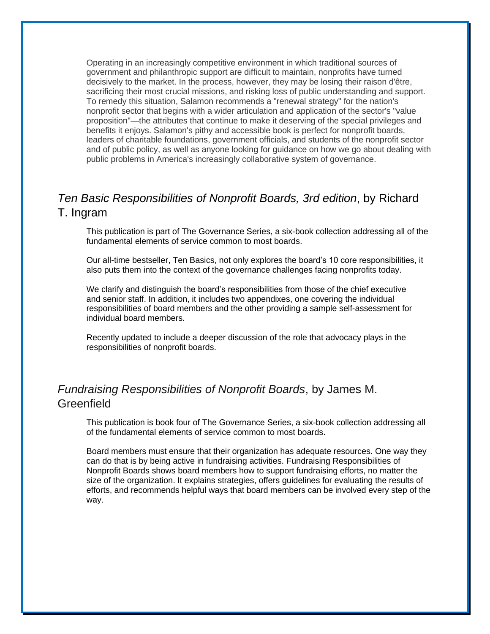Operating in an increasingly competitive environment in which traditional sources of government and philanthropic support are difficult to maintain, nonprofits have turned decisively to the market. In the process, however, they may be losing their raison d'être, sacrificing their most crucial missions, and risking loss of public understanding and support. To remedy this situation, Salamon recommends a "renewal strategy" for the nation's nonprofit sector that begins with a wider articulation and application of the sector's "value proposition"—the attributes that continue to make it deserving of the special privileges and benefits it enjoys. Salamon's pithy and accessible book is perfect for nonprofit boards, leaders of charitable foundations, government officials, and students of the nonprofit sector and of public policy, as well as anyone looking for guidance on how we go about dealing with public problems in America's increasingly collaborative system of governance.

# *Ten Basic Responsibilities of Nonprofit Boards, 3rd edition*, by Richard T. Ingram

This publication is part of [The Governance Series,](https://boardsource.org/product/governance-responsibilities/) a six-book collection addressing all of the fundamental elements of service common to most boards.

Our all-time bestseller, Ten Basics, not only explores the board's 10 core responsibilities, it also puts them into the context of the governance challenges facing nonprofits today.

We clarify and distinguish the board's responsibilities from those of the chief executive and senior staff. In addition, it includes two appendixes, one covering the individual responsibilities of board members and the other providing a sample self-assessment for individual board members.

Recently updated to include a deeper discussion of the role that [advocacy](https://boardsource.org/research-critical-issues/stand-mission-advocacy/) plays in the responsibilities of nonprofit boards.

### *Fundraising Responsibilities of Nonprofit Boards*, by James M. **Greenfield**

This publication is book four of [The Governance Series,](https://boardsource.org/product/governance-responsibilites) a six-book collection addressing all of the fundamental elements of service common to most boards.

Board members must ensure that their organization has adequate resources. One way they can do that is by being active in fundraising activities. Fundraising Responsibilities of Nonprofit Boards shows board members how to support fundraising efforts, no matter the size of the organization. It explains strategies, offers guidelines for evaluating the results of efforts, and recommends helpful ways that board members can be involved every step of the way.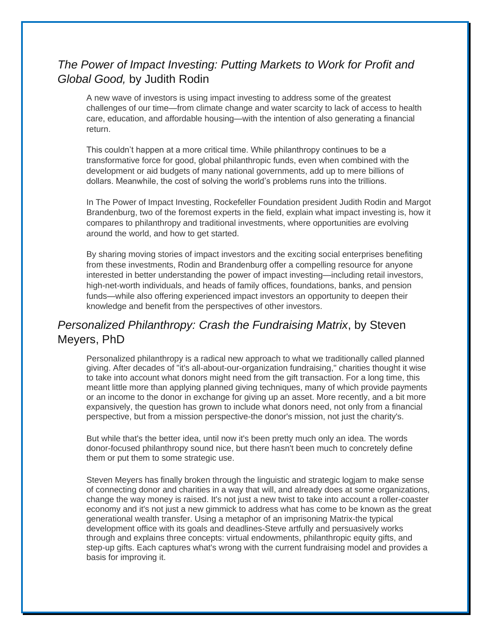# *The Power of Impact Investing: Putting Markets to Work for Profit and Global Good,* by Judith Rodin

A new wave of investors is using impact investing to address some of the greatest challenges of our time—from climate change and water scarcity to lack of access to health care, education, and affordable housing—with the intention of also generating a financial return.

This couldn't happen at a more critical time. While philanthropy continues to be a transformative force for good, global philanthropic funds, even when combined with the development or aid budgets of many national governments, add up to mere billions of dollars. Meanwhile, the cost of solving the world's problems runs into the trillions.

In The Power of Impact Investing, Rockefeller Foundation president Judith Rodin and Margot Brandenburg, two of the foremost experts in the field, explain what impact investing is, how it compares to philanthropy and traditional investments, where opportunities are evolving around the world, and how to get started.

By sharing moving stories of impact investors and the exciting social enterprises benefiting from these investments, Rodin and Brandenburg offer a compelling resource for anyone interested in better understanding the power of impact investing—including retail investors, high-net-worth individuals, and heads of family offices, foundations, banks, and pension funds—while also offering experienced impact investors an opportunity to deepen their knowledge and benefit from the perspectives of other investors.

# *Personalized Philanthropy: Crash the Fundraising Matrix*, by Steven Meyers, PhD

Personalized philanthropy is a radical new approach to what we traditionally called planned giving. After decades of "it's all-about-our-organization fundraising," charities thought it wise to take into account what donors might need from the gift transaction. For a long time, this meant little more than applying planned giving techniques, many of which provide payments or an income to the donor in exchange for giving up an asset. More recently, and a bit more expansively, the question has grown to include what donors need, not only from a financial perspective, but from a mission perspective-the donor's mission, not just the charity's.

But while that's the better idea, until now it's been pretty much only an idea. The words donor-focused philanthropy sound nice, but there hasn't been much to concretely define them or put them to some strategic use.

Steven Meyers has finally broken through the linguistic and strategic logjam to make sense of connecting donor and charities in a way that will, and already does at some organizations, change the way money is raised. It's not just a new twist to take into account a roller-coaster economy and it's not just a new gimmick to address what has come to be known as the great generational wealth transfer. Using a metaphor of an imprisoning Matrix-the typical development office with its goals and deadlines-Steve artfully and persuasively works through and explains three concepts: virtual endowments, philanthropic equity gifts, and step-up gifts. Each captures what's wrong with the current fundraising model and provides a basis for improving it.